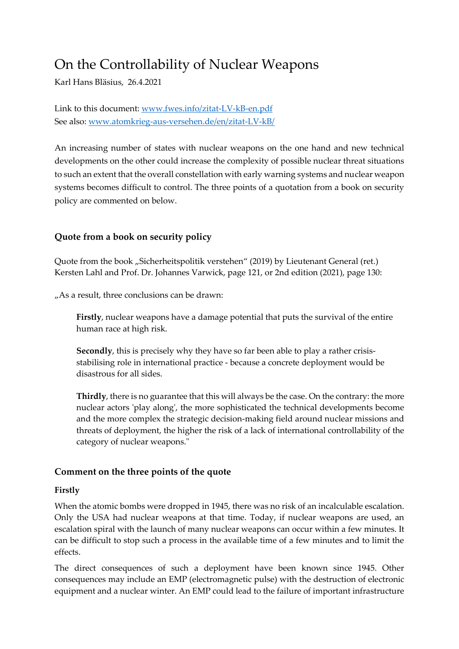# On the Controllability of Nuclear Weapons

Karl Hans Bläsius, 26.4.2021

Link to this document[: www.fwes.info/zitat-LV-kB-en.pdf](http://www.fwes.info/zitat-LV-kB-en.pdf) See also: [www.atomkrieg-aus-versehen.de/en/zitat-LV-kB/](http://www.atomkrieg-aus-versehen.de/en/zitat-LV-kB/)

An increasing number of states with nuclear weapons on the one hand and new technical developments on the other could increase the complexity of possible nuclear threat situations to such an extent that the overall constellation with early warning systems and nuclear weapon systems becomes difficult to control. The three points of a quotation from a book on security policy are commented on below.

## **Quote from a book on security policy**

Quote from the book "Sicherheitspolitik verstehen" (2019) by Lieutenant General (ret.) Kersten Lahl and Prof. Dr. Johannes Varwick, page 121, or 2nd edition (2021), page 130:

"As a result, three conclusions can be drawn:

**Firstly**, nuclear weapons have a damage potential that puts the survival of the entire human race at high risk.

**Secondly**, this is precisely why they have so far been able to play a rather crisisstabilising role in international practice - because a concrete deployment would be disastrous for all sides.

**Thirdly**, there is no guarantee that this will always be the case. On the contrary: the more nuclear actors 'play along', the more sophisticated the technical developments become and the more complex the strategic decision-making field around nuclear missions and threats of deployment, the higher the risk of a lack of international controllability of the category of nuclear weapons."

## **Comment on the three points of the quote**

## **Firstly**

When the atomic bombs were dropped in 1945, there was no risk of an incalculable escalation. Only the USA had nuclear weapons at that time. Today, if nuclear weapons are used, an escalation spiral with the launch of many nuclear weapons can occur within a few minutes. It can be difficult to stop such a process in the available time of a few minutes and to limit the effects.

The direct consequences of such a deployment have been known since 1945. Other consequences may include an EMP (electromagnetic pulse) with the destruction of electronic equipment and a nuclear winter. An EMP could lead to the failure of important infrastructure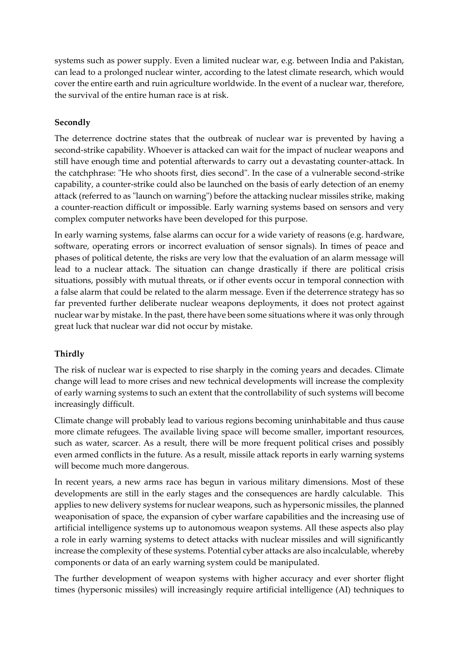systems such as power supply. Even a limited nuclear war, e.g. between India and Pakistan, can lead to a prolonged nuclear winter, according to the latest climate research, which would cover the entire earth and ruin agriculture worldwide. In the event of a nuclear war, therefore, the survival of the entire human race is at risk.

### **Secondly**

The deterrence doctrine states that the outbreak of nuclear war is prevented by having a second-strike capability. Whoever is attacked can wait for the impact of nuclear weapons and still have enough time and potential afterwards to carry out a devastating counter-attack. In the catchphrase: "He who shoots first, dies second". In the case of a vulnerable second-strike capability, a counter-strike could also be launched on the basis of early detection of an enemy attack (referred to as "launch on warning") before the attacking nuclear missiles strike, making a counter-reaction difficult or impossible. Early warning systems based on sensors and very complex computer networks have been developed for this purpose.

In early warning systems, false alarms can occur for a wide variety of reasons (e.g. hardware, software, operating errors or incorrect evaluation of sensor signals). In times of peace and phases of political detente, the risks are very low that the evaluation of an alarm message will lead to a nuclear attack. The situation can change drastically if there are political crisis situations, possibly with mutual threats, or if other events occur in temporal connection with a false alarm that could be related to the alarm message. Even if the deterrence strategy has so far prevented further deliberate nuclear weapons deployments, it does not protect against nuclear war by mistake. In the past, there have been some situations where it was only through great luck that nuclear war did not occur by mistake.

## **Thirdly**

The risk of nuclear war is expected to rise sharply in the coming years and decades. Climate change will lead to more crises and new technical developments will increase the complexity of early warning systems to such an extent that the controllability of such systems will become increasingly difficult.

Climate change will probably lead to various regions becoming uninhabitable and thus cause more climate refugees. The available living space will become smaller, important resources, such as water, scarcer. As a result, there will be more frequent political crises and possibly even armed conflicts in the future. As a result, missile attack reports in early warning systems will become much more dangerous.

In recent years, a new arms race has begun in various military dimensions. Most of these developments are still in the early stages and the consequences are hardly calculable. This applies to new delivery systems for nuclear weapons, such as hypersonic missiles, the planned weaponisation of space, the expansion of cyber warfare capabilities and the increasing use of artificial intelligence systems up to autonomous weapon systems. All these aspects also play a role in early warning systems to detect attacks with nuclear missiles and will significantly increase the complexity of these systems. Potential cyber attacks are also incalculable, whereby components or data of an early warning system could be manipulated.

The further development of weapon systems with higher accuracy and ever shorter flight times (hypersonic missiles) will increasingly require artificial intelligence (AI) techniques to